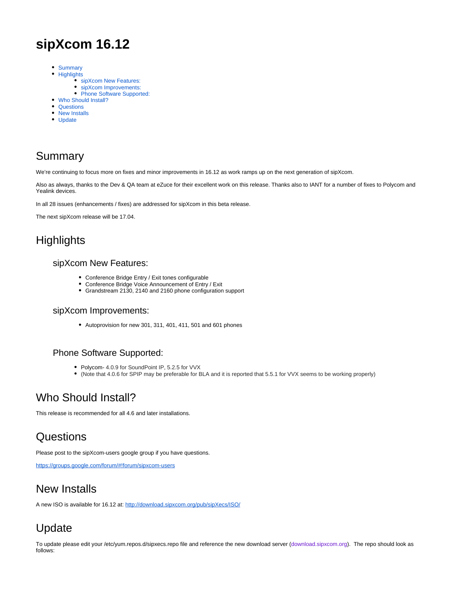# **sipXcom 16.12**

- [Summary](#page-0-0)
- [Highlights](#page-0-1)
	- [sipXcom New Features:](#page-0-2)
	- [sipXcom Improvements:](#page-0-3)
	- [Phone Software Supported:](#page-0-4)
- [Who Should Install?](#page-0-5)
- [Questions](#page-0-6) • [New Installs](#page-0-7)
- 
- [Update](#page-0-8)

## <span id="page-0-0"></span>Summary

We're continuing to focus more on fixes and minor improvements in 16.12 as work ramps up on the next generation of sipXcom.

Also as always, thanks to the Dev & QA team at eZuce for their excellent work on this release. Thanks also to IANT for a number of fixes to Polycom and Yealink devices.

In all 28 issues (enhancements / fixes) are addressed for sipXcom in this beta release.

The next sipXcom release will be 17.04.

## <span id="page-0-2"></span><span id="page-0-1"></span>**Highlights**

#### sipXcom New Features:

- Conference Bridge Entry / Exit tones configurable
- Conference Bridge Voice Announcement of Entry / Exit
- Grandstream 2130, 2140 and 2160 phone configuration support

### <span id="page-0-3"></span>sipXcom Improvements:

Autoprovision for new 301, 311, 401, 411, 501 and 601 phones

### <span id="page-0-4"></span>Phone Software Supported:

- Polycom- 4.0.9 for SoundPoint IP, 5.2.5 for VVX
- (Note that 4.0.6 for SPIP may be preferable for BLA and it is reported that 5.5.1 for VVX seems to be working properly)

### <span id="page-0-5"></span>Who Should Install?

This release is recommended for all 4.6 and later installations.

### <span id="page-0-6"></span>**Questions**

Please post to the sipXcom-users google group if you have questions.

<https://groups.google.com/forum/#!forum/sipxcom-users>

### <span id="page-0-7"></span>New Installs

A new ISO is available for 16.12 at:<http://download.sipxcom.org/pub/sipXecs/ISO/>

# <span id="page-0-8"></span>Update

To update please edit your /etc/yum.repos.d/sipxecs.repo file and reference the new download server ([download.sipxcom.org](http://download.sipxcom.org/)). The repo should look as follows: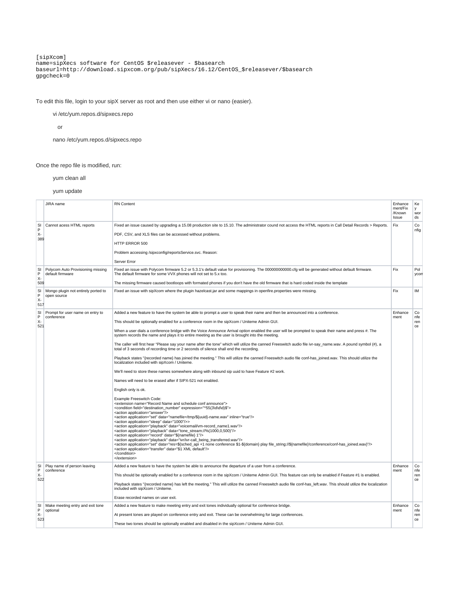[sipXcom] name=sipXecs software for CentOS \$releasever - \$basearch baseurl=[http://download.sipxcom.org/pub/sipXecs/16.12/CentOS\\_\\$releasever/\\$basearch](http://download.sipxcom.org/pub/sipXecs/16.12/CentOS_$releasever/$basearch) gpgcheck=0

To edit this file, login to your sipX server as root and then use either vi or nano (easier).

vi /etc/yum.repos.d/sipxecs.repo

or

nano /etc/yum.repos.d/sipxecs.repo

Once the repo file is modified, run:

yum clean all

yum update

|                      | JIRA name                                          | <b>RN Content</b>                                                                                                                                                                                                                                                                                                              | Enhance<br>ment/Fix<br>/Known<br>Issue | Ke<br>y<br>wor<br>ds |
|----------------------|----------------------------------------------------|--------------------------------------------------------------------------------------------------------------------------------------------------------------------------------------------------------------------------------------------------------------------------------------------------------------------------------|----------------------------------------|----------------------|
| SI                   | Cannot acess HTML reports                          | Fixed an issue caused by upgrading a 15.08 production site to 15.10. The administrator cound not access the HTML reports in Call Detail Records > Reports.                                                                                                                                                                     | Fix                                    | Co                   |
| P<br>χ.<br>389       |                                                    | PDF, CSV, and XLS files can be accessed without problems.                                                                                                                                                                                                                                                                      |                                        | nfig                 |
|                      |                                                    | HTTP ERROR 500                                                                                                                                                                                                                                                                                                                 |                                        |                      |
|                      |                                                    | Problem accessing /sipxconfig/reportsService.svc. Reason:                                                                                                                                                                                                                                                                      |                                        |                      |
|                      |                                                    | Server Error                                                                                                                                                                                                                                                                                                                   |                                        |                      |
| SI                   | Polycom Auto Provisioning missing                  | Fixed an issue with Polycom firmware 5.2 or 5.3.1's default value for provisioning. The 000000000000.cfg will be generated without default firmware.                                                                                                                                                                           | Fix                                    | Pol                  |
| P<br>$X-$            | default firmware                                   | The default firmware for some VVX phones will not set to 5.x too.                                                                                                                                                                                                                                                              |                                        | ycon                 |
| 509                  |                                                    | The missing firmware caused bootloops with formated phones if you don't have the old firmware that is hard coded inside the template                                                                                                                                                                                           |                                        |                      |
| SI<br>P<br>χ.<br>517 | Mongo plugin not entirely ported to<br>open source | Fixed an issue with sipXcom where the plugin hazelcast.jar and some mappings in openfire.properties were missing.                                                                                                                                                                                                              | Fix                                    | ıм                   |
| SI                   | Prompt for user name on entry to<br>conference     | Added a new feature to have the system be able to prompt a user to speak their name and then be announced into a conference.                                                                                                                                                                                                   | Enhance                                | Co<br>nfe<br>ren     |
| P<br>χ.<br>521       |                                                    | This should be optionally enabled for a conference room in the sipXcom / Uniteme Admin GUI.                                                                                                                                                                                                                                    | ment                                   |                      |
|                      |                                                    | When a user dials a conference bridge with the Voice Announce Arrival option enabled the user will be prompted to speak their name and press #. The<br>system records the name and plays it to entire meeting as the user is brought into the meeting.                                                                         |                                        | ce                   |
|                      |                                                    | The caller will first hear "Please say your name after the tone" which will utilize the canned Freeswitch audio file ivr-say_name.wav. A pound symbol (#), a<br>total of 3 seconds of recording time or 2 seconds of silence shall end the recording.                                                                          |                                        |                      |
|                      |                                                    | Playback states "{recorded name} has joined the meeting." This will utilize the canned Freeswitch audio file conf-has joined.wav. This should utilize the<br>localization included with sipXcom / Uniteme.                                                                                                                     |                                        |                      |
|                      |                                                    | We'll need to store these names somewhere along with inbound sip uuid to have Feature #2 work.                                                                                                                                                                                                                                 |                                        |                      |
|                      |                                                    | Names will need to be erased after if SIPX-521 not enabled.                                                                                                                                                                                                                                                                    |                                        |                      |
|                      |                                                    | English only is ok.                                                                                                                                                                                                                                                                                                            |                                        |                      |
|                      |                                                    | Example Freeswitch Code:                                                                                                                                                                                                                                                                                                       |                                        |                      |
|                      |                                                    | <extension name="Record Name and schedule conf announce"><br/><condition expression="^55(3\d\d\d)\$" field="destination_number"></condition></extension>                                                                                                                                                                       |                                        |                      |
|                      |                                                    | <action application="answer"></action><br><action application="set" data="namefile=/tmp/\${uuid}-name.wav" inline="true"></action>                                                                                                                                                                                             |                                        |                      |
|                      |                                                    | <action application="sleep" data="1000"></action> ><br><action application="playback" data="voicemail/vm-record_name1.wav"></action>                                                                                                                                                                                           |                                        |                      |
|                      |                                                    | <action application="playback" data="tone_stream://%(1000,0,500)"></action><br><action application="record" data="\${namefile} 1"></action>                                                                                                                                                                                    |                                        |                      |
|                      |                                                    | <action application="playback" data="ivr/ivr-call being transferred.wav"></action><br><action application="set" data="res=\${sched_api +1 none conference \$1-\${domain} play file_string://\${namefile}!conference/conf-has_joined.wav}"></action><br><action application="transfer" data="\$1 XML default"></action><br><br> |                                        |                      |
| SI<br>P              | Play name of person leaving<br>conference          | Added a new feature to have the system be able to announce the departure of a user from a conference.                                                                                                                                                                                                                          | Enhance<br>ment                        | Co<br>nfe            |
| χ.                   |                                                    | This should be optionally enabled for a conference room in the sipXcom / Uniteme Admin GUI. This feature can only be enabled if Feature #1 is enabled.                                                                                                                                                                         |                                        | ren<br>ce            |
| 522                  |                                                    | Playback states "{recorded name} has left the meeting." This will utilize the canned Freeswitch audio file conf-has left.wav. This should utilize the localization<br>included with sipXcom / Uniteme.                                                                                                                         |                                        |                      |
|                      |                                                    | Erase recorded names on user exit.                                                                                                                                                                                                                                                                                             |                                        |                      |
| SI<br>P              | Make meeting entry and exit tone<br>optional       | Added a new feature to make meeting entry and exit tones individually optional for conference bridge.                                                                                                                                                                                                                          | Enhance<br>ment                        | Co<br>nfe            |
| $X -$<br>523         |                                                    | At present tones are played on conference entry and exit. These can be overwhelming for large conferences.                                                                                                                                                                                                                     |                                        | ren<br>ce            |
|                      |                                                    | These two tones should be optionally enabled and disabled in the sipXcom / Uniteme Admin GUI.                                                                                                                                                                                                                                  |                                        |                      |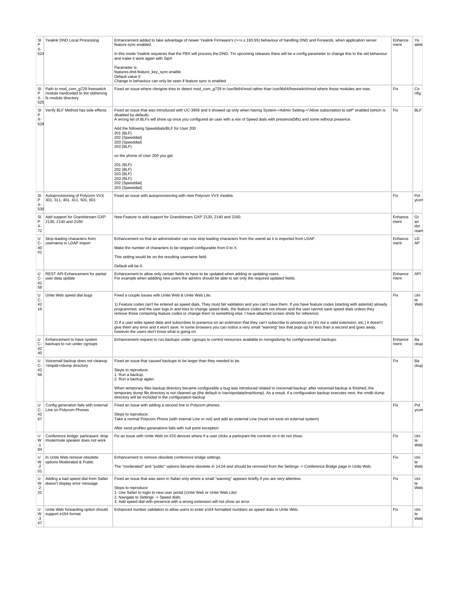| SI<br>P<br>χ.<br>524 | Yealink DND Local Processing                                                                | Enhancement added to take advantage of newer Yealink Firmware's (>=x.x.193.95) behaviour of handling DND and Forwards, when application server<br>feature sync enabled.<br>In this mode Yealink requieres that the PBX will process the DND. TIn upcoming releases there will be a config parameter to change this to the old behaviour<br>and make it work again with SipX                                                                                                                                                                                                                                                                                                                                                                                                                                                                                                          | Enhance<br>ment | Ye<br>alink             |
|----------------------|---------------------------------------------------------------------------------------------|--------------------------------------------------------------------------------------------------------------------------------------------------------------------------------------------------------------------------------------------------------------------------------------------------------------------------------------------------------------------------------------------------------------------------------------------------------------------------------------------------------------------------------------------------------------------------------------------------------------------------------------------------------------------------------------------------------------------------------------------------------------------------------------------------------------------------------------------------------------------------------------|-----------------|-------------------------|
|                      |                                                                                             | Parameter is:<br>features.dnd.feature_key_sync.enable<br>Default value 0<br>Change in behaviour can only be seen if feature sync is enabled                                                                                                                                                                                                                                                                                                                                                                                                                                                                                                                                                                                                                                                                                                                                          |                 |                         |
| SI<br>P<br>χ.<br>525 | Path to mod com g729 freeswitch<br>module hardcoded to the old/wrong<br>fs module directory | Fixed an issue where cfengine tries to detect mod_com_g729 in /usr/lib64/mod rather than /usr/lib64/freeswitch/mod where these modules are now.                                                                                                                                                                                                                                                                                                                                                                                                                                                                                                                                                                                                                                                                                                                                      | Fix             | Co<br>nfig              |
| SI<br>Ρ<br>х-<br>529 | Verify BLF Method has side effects                                                          | Fixed an issue that was introduced with UC-3956 and it showed up only when having System->Admin Setting->"Allow subscription to self" enabled (which is<br>disabled by default).<br>A wrong list of BLFs will show up once you configured an user with a mix of Speed dials with presence(blfs) and some without presence.<br>Add the following Speeddials/BLF for User 200<br>201 (BLF)<br>202 (Speeddial)<br>203 (Speeddial)<br>203 (BLF)<br>on the phone of User 200 you get<br>201 (BLF)<br>202 (BLF)<br>203 (BLF)<br>203 (BLF)<br>202 (Speeddial)<br>203 (Speeddial)                                                                                                                                                                                                                                                                                                            | Fix             | <b>BLF</b>              |
| SI<br>P<br>χ.<br>530 | Autoprovisioning of Polycom VVX<br>301, 311, 401, 411, 501, 601                             | Fixed an issue with autoprovisioning with new Polycom VVX models.                                                                                                                                                                                                                                                                                                                                                                                                                                                                                                                                                                                                                                                                                                                                                                                                                    | Fix             | Pol<br>ycon             |
| SI<br>Ρ<br>χ.<br>72  | Add support for Grandstream GXP<br>2130, 2140 and 2160                                      | New Feature to add support for Grandstream GXP 2130, 2140 and 2160.                                                                                                                                                                                                                                                                                                                                                                                                                                                                                                                                                                                                                                                                                                                                                                                                                  | Enhance<br>ment | Gr<br>an<br>dst<br>rean |
| U<br>c.<br>40<br>01  | Strip leading characters from<br>username in LDAP import                                    | Enhancement so that an administrator can now strip leading characters from the userid as it is imported from LDAP.<br>Make the number of characters to be stripped configurable from 0 to X.<br>This setting would be on the resulting username field.<br>Default will be 0.                                                                                                                                                                                                                                                                                                                                                                                                                                                                                                                                                                                                         | Enhance<br>ment | LD<br>AP                |
| U<br>c-<br>41<br>58  | REST API Enhancement for partial<br>user data update                                        | Enhancement to allow only certain fields to have to be updated when adding or updating users.<br>For example when addding new users the admins should be able to set only the required updated fields.                                                                                                                                                                                                                                                                                                                                                                                                                                                                                                                                                                                                                                                                               | Enhance<br>ment | API                     |
| U<br>c-<br>42<br>16  | Unite Web speed dial bugs                                                                   | Fixed a couple issues with Unite Web & Unite Web Lite.<br>1) Feature codes can't be entered as speed dials. They must fail validation and you can't save them. If you have feature codes (starting with asterisk) already<br>programmed, and the user logs in and tries to change speed dials, the feature codes are not shown and the user cannot save speed dials unless they<br>remove those containing feature codes or change them to something else. I have attached screen shots for reference.<br>2) If a user edits speed dials and subscribes to presence on an extension that they can't subscribe to presence on (it's not a valid extension, etc.) it doesn't<br>give them any error and it won't save. In some browsers you can notice a very small "warning" box that pops up for less than a second and goes away,<br>however the users don't know what is going on. | Fix             | Uni<br>te<br>Web        |
| U<br>c-<br>42<br>40  | Enhancement to have system<br>backups to run under cgroups                                  | Enhancement request to run backups under cgroups to control resources available to mongodump for config/voicemail backups.                                                                                                                                                                                                                                                                                                                                                                                                                                                                                                                                                                                                                                                                                                                                                           | Enhance<br>ment | Ba<br>ckup              |
| U<br>c-<br>42<br>66  | Voicemail backup does not cleanup<br><tmpdir>/dump directory</tmpdir>                       | Fixed an issue that caused backups to be larger than they needed to be.<br>Steps to reproduce:<br>1. Run a backup.<br>2. Run a backup again.<br>When temporary files backup directory became configurable a bug was introduced related to voicemail backup; after voicemail backup is finished, the<br>temporary dump file directory is not cleaned up (the default is /var/sipxdata/tmp/dump). As a result, if a configuration backup executes next, the vmdb dump<br>directory will be included in the configuration backup                                                                                                                                                                                                                                                                                                                                                        | Fix             | Ba<br>ckup              |
| U<br>c-<br>42<br>67  | Config generation fails with external<br>Line on Polycom Phones                             | Fixed an issue with adding a second line to Polycom phones.<br>Steps to reproduce:<br>Take a normal Polycom Phone (with internal Line or not) and add an external Line (must not exist on external system)<br>After send profiles generations fails with null point exception                                                                                                                                                                                                                                                                                                                                                                                                                                                                                                                                                                                                        | Fix             | Pol<br>ycon             |
| U<br>W<br>$-1$<br>84 | Conference bridge: participant: drop<br>/mute/mute speaker does not work                    | Fix an issue with Unite Web on iOS devices where if a user clicks a particpant the controls on it do not show.                                                                                                                                                                                                                                                                                                                                                                                                                                                                                                                                                                                                                                                                                                                                                                       | Fix             | Uni<br>te<br>Web        |
| U<br>W<br>$-2$<br>01 | In Unite Web remove obsolete<br>options Moderated & Public                                  | Enhancement to remove obsolete conference bridge settings.<br>The "moderated" and "public" options became obsolete in 14.04 and should be removed from the Settings -> Conference Bridge page in Unite Web.                                                                                                                                                                                                                                                                                                                                                                                                                                                                                                                                                                                                                                                                          | Fix             | Uni<br>te<br>Web        |
| U<br>W<br>-2<br>31   | Adding a bad speed dial from Safari<br>doesn't display error message                        | Fixed an issue that was seen in Safari only where a small "warning" appears briefly if you are very attentive.<br>Steps to reproduce:<br>1. Use Safari to login to new user portal (Unite Web or Unite Web Lite)<br>2. Navigate to Settings -> Speed dials.<br>3. Add speed dial with presence with a wrong extension will not show an error.                                                                                                                                                                                                                                                                                                                                                                                                                                                                                                                                        | Fix             | Uni<br>te<br>Web        |
| U<br>W<br>-3<br>47   | Unite Web forwarding option should<br>support e164 format                                   | Enhanced number validation to allow users to enter e164 formatted numbers as speed dials in Unite Web.                                                                                                                                                                                                                                                                                                                                                                                                                                                                                                                                                                                                                                                                                                                                                                               | Fix             | Uni<br>te<br>Web        |